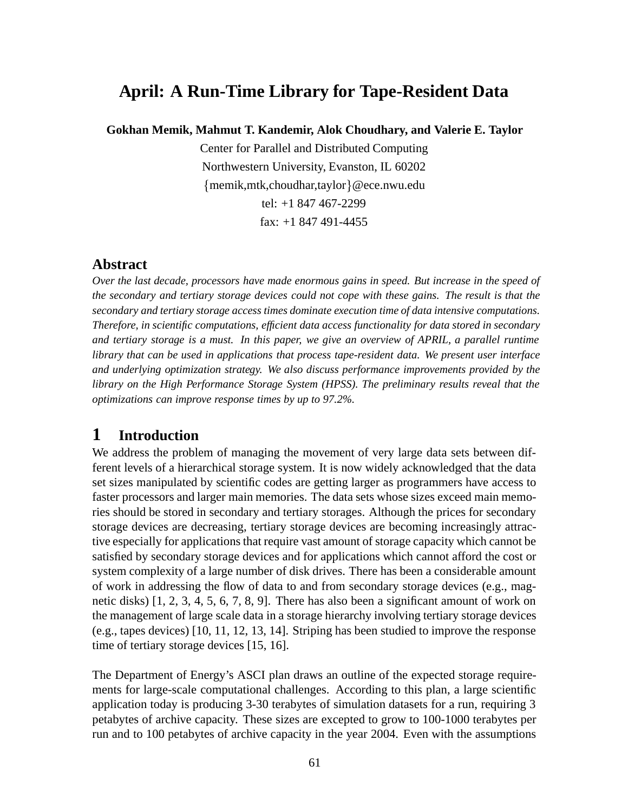# **April: A Run-Time Library for Tape-Resident Data**

**Gokhan Memik, Mahmut T. Kandemir, Alok Choudhary, and Valerie E. Taylor**

Center for Parallel and Distributed Computing Northwestern University, Evanston, IL 60202  ${memik,mtk,choudhar, taylor}$ @ece.nwu.edu tel: +1 847 467-2299 fax: +1 847 491-4455

#### **Abstract**

*Over the last decade, processors have made enormous gains in speed. But increase in the speed of the secondary and tertiary storage devices could not cope with these gains. The result is that the secondary and tertiary storage access times dominate execution time of data intensive computations. Therefore, in scientific computations, efficient data access functionality for data stored in secondary and tertiary storage is a must. In this paper, we give an overview of APRIL, a parallel runtime library that can be used in applications that process tape-resident data. We present user interface and underlying optimization strategy. We also discuss performance improvements provided by the library on the High Performance Storage System (HPSS). The preliminary results reveal that the optimizations can improve response times by up to 97.2%.*

# **1 Introduction**

We address the problem of managing the movement of very large data sets between different levels of a hierarchical storage system. It is now widely acknowledged that the data set sizes manipulated by scientific codes are getting larger as programmers have access to faster processors and larger main memories. The data sets whose sizes exceed main memories should be stored in secondary and tertiary storages. Although the prices for secondary storage devices are decreasing, tertiary storage devices are becoming increasingly attractive especially for applications that require vast amount of storage capacity which cannot be satisfied by secondary storage devices and for applications which cannot afford the cost or system complexity of a large number of disk drives. There has been a considerable amount of work in addressing the flow of data to and from secondary storage devices (e.g., magnetic disks) [1, 2, 3, 4, 5, 6, 7, 8, 9]. There has also been a significant amount of work on the management of large scale data in a storage hierarchy involving tertiary storage devices (e.g., tapes devices) [10, 11, 12, 13, 14]. Striping has been studied to improve the response time of tertiary storage devices [15, 16].

The Department of Energy's ASCI plan draws an outline of the expected storage requirements for large-scale computational challenges. According to this plan, a large scientific application today is producing 3-30 terabytes of simulation datasets for a run, requiring 3 petabytes of archive capacity. These sizes are excepted to grow to 100-1000 terabytes per run and to 100 petabytes of archive capacity in the year 2004. Even with the assumptions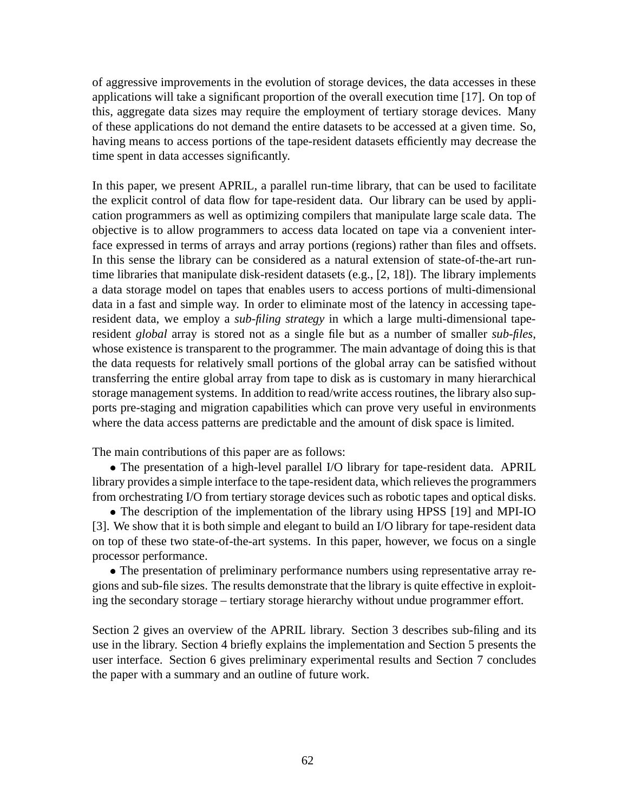of aggressive improvements in the evolution of storage devices, the data accesses in these applications will take a significant proportion of the overall execution time [17]. On top of this, aggregate data sizes may require the employment of tertiary storage devices. Many of these applications do not demand the entire datasets to be accessed at a given time. So, having means to access portions of the tape-resident datasets efficiently may decrease the time spent in data accesses significantly.

In this paper, we present APRIL, a parallel run-time library, that can be used to facilitate the explicit control of data flow for tape-resident data. Our library can be used by application programmers as well as optimizing compilers that manipulate large scale data. The objective is to allow programmers to access data located on tape via a convenient interface expressed in terms of arrays and array portions (regions) rather than files and offsets. In this sense the library can be considered as a natural extension of state-of-the-art runtime libraries that manipulate disk-resident datasets (e.g., [2, 18]). The library implements a data storage model on tapes that enables users to access portions of multi-dimensional data in a fast and simple way. In order to eliminate most of the latency in accessing taperesident data, we employ a *sub-filing strategy* in which a large multi-dimensional taperesident *global* array is stored not as a single file but as a number of smaller *sub-files*, whose existence is transparent to the programmer. The main advantage of doing this is that the data requests for relatively small portions of the global array can be satisfied without transferring the entire global array from tape to disk as is customary in many hierarchical storage management systems. In addition to read/write access routines, the library also supports pre-staging and migration capabilities which can prove very useful in environments where the data access patterns are predictable and the amount of disk space is limited.

The main contributions of this paper are as follows:

 The presentation of a high-level parallel I/O library for tape-resident data. APRIL library provides a simple interface to the tape-resident data, which relieves the programmers from orchestrating I/O from tertiary storage devices such as robotic tapes and optical disks.

 The description of the implementation of the library using HPSS [19] and MPI-IO [3]. We show that it is both simple and elegant to build an I/O library for tape-resident data on top of these two state-of-the-art systems. In this paper, however, we focus on a single processor performance.

 The presentation of preliminary performance numbers using representative array regions and sub-file sizes. The results demonstrate that the library is quite effective in exploiting the secondary storage – tertiary storage hierarchy without undue programmer effort.

Section 2 gives an overview of the APRIL library. Section 3 describes sub-filing and its use in the library. Section 4 briefly explains the implementation and Section 5 presents the user interface. Section 6 gives preliminary experimental results and Section 7 concludes the paper with a summary and an outline of future work.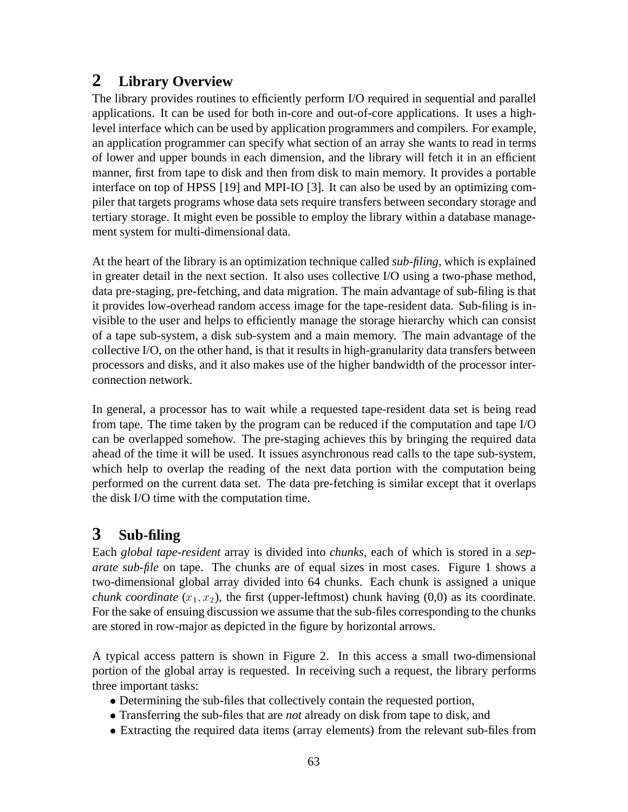# **2 Library Overview**

The library provides routines to efficiently perform I/O required in sequential and parallel applications. It can be used for both in-core and out-of-core applications. It uses a highlevel interface which can be used by application programmers and compilers. For example, an application programmer can specify what section of an array she wants to read in terms of lower and upper bounds in each dimension, and the library will fetch it in an efficient manner, first from tape to disk and then from disk to main memory. It provides a portable interface on top of HPSS [19] and MPI-IO [3]. It can also be used by an optimizing compiler that targets programs whose data sets require transfers between secondary storage and tertiary storage. It might even be possible to employ the library within a database management system for multi-dimensional data.

At the heart of the library is an optimization technique called *sub-filing*, which is explained in greater detail in the next section. It also uses collective I/O using a two-phase method, data pre-staging, pre-fetching, and data migration. The main advantage of sub-filing is that it provides low-overhead random access image for the tape-resident data. Sub-filing is invisible to the user and helps to efficiently manage the storage hierarchy which can consist of a tape sub-system, a disk sub-system and a main memory. The main advantage of the collective I/O, on the other hand, is that it results in high-granularity data transfers between processors and disks, and it also makes use of the higher bandwidth of the processor interconnection network.

In general, a processor has to wait while a requested tape-resident data set is being read from tape. The time taken by the program can be reduced if the computation and tape I/O can be overlapped somehow. The pre-staging achieves this by bringing the required data ahead of the time it will be used. It issues asynchronous read calls to the tape sub-system, which help to overlap the reading of the next data portion with the computation being performed on the current data set. The data pre-fetching is similar except that it overlaps the disk I/O time with the computation time.

# **3 Sub-filing**

Each *global tape-resident* array is divided into *chunks,* each of which is stored in a *separate sub-file* on tape. The chunks are of equal sizes in most cases. Figure 1 shows a two-dimensional global array divided into 64 chunks. Each chunk is assigned a unique *chunk coordinate*  $(x_1, x_2)$ , the first (upper-leftmost) chunk having  $(0,0)$  as its coordinate. For the sake of ensuing discussion we assume that the sub-files corresponding to the chunks are stored in row-major as depicted in the figure by horizontal arrows.

A typical access pattern is shown in Figure 2. In this access a small two-dimensional portion of the global array is requested. In receiving such a request, the library performs three important tasks:

- Determining the sub-files that collectively contain the requested portion,
- Transferring the sub-files that are *not* already on disk from tape to disk, and
- Extracting the required data items (array elements) from the relevant sub-files from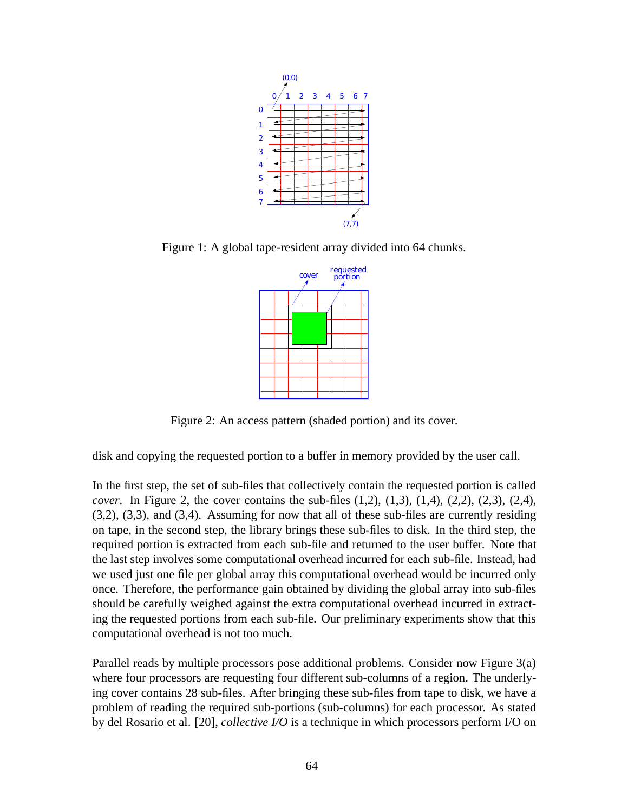

Figure 1: A global tape-resident array divided into 64 chunks.



Figure 2: An access pattern (shaded portion) and its cover.

disk and copying the requested portion to a buffer in memory provided by the user call.

In the first step, the set of sub-files that collectively contain the requested portion is called *cover*. In Figure 2, the cover contains the sub-files (1,2), (1,3), (1,4), (2,2), (2,3), (2,4), (3,2), (3,3), and (3,4). Assuming for now that all of these sub-files are currently residing on tape, in the second step, the library brings these sub-files to disk. In the third step, the required portion is extracted from each sub-file and returned to the user buffer. Note that the last step involves some computational overhead incurred for each sub-file. Instead, had we used just one file per global array this computational overhead would be incurred only once. Therefore, the performance gain obtained by dividing the global array into sub-files should be carefully weighed against the extra computational overhead incurred in extracting the requested portions from each sub-file. Our preliminary experiments show that this computational overhead is not too much.

Parallel reads by multiple processors pose additional problems. Consider now Figure 3(a) where four processors are requesting four different sub-columns of a region. The underlying cover contains 28 sub-files. After bringing these sub-files from tape to disk, we have a problem of reading the required sub-portions (sub-columns) for each processor. As stated by del Rosario et al. [20], *collective I/O* is a technique in which processors perform I/O on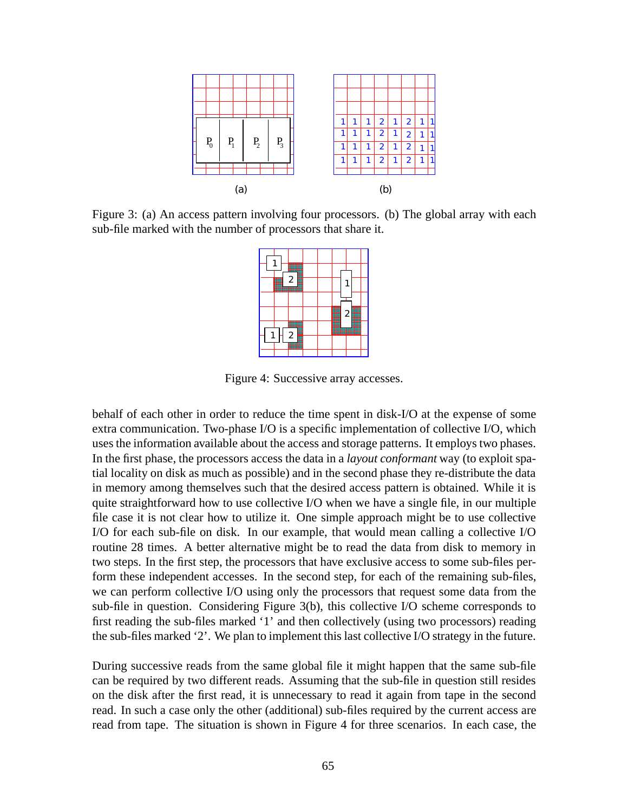

Figure 3: (a) An access pattern involving four processors. (b) The global array with each sub-file marked with the number of processors that share it.



Figure 4: Successive array accesses.

behalf of each other in order to reduce the time spent in disk-I/O at the expense of some extra communication. Two-phase I/O is a specific implementation of collective I/O, which uses the information available about the access and storage patterns. It employs two phases. In the first phase, the processors access the data in a *layout conformant* way (to exploit spatial locality on disk as much as possible) and in the second phase they re-distribute the data in memory among themselves such that the desired access pattern is obtained. While it is quite straightforward how to use collective I/O when we have a single file, in our multiple file case it is not clear how to utilize it. One simple approach might be to use collective I/O for each sub-file on disk. In our example, that would mean calling a collective I/O routine 28 times. A better alternative might be to read the data from disk to memory in two steps. In the first step, the processors that have exclusive access to some sub-files perform these independent accesses. In the second step, for each of the remaining sub-files, we can perform collective I/O using only the processors that request some data from the sub-file in question. Considering Figure 3(b), this collective I/O scheme corresponds to first reading the sub-files marked '1' and then collectively (using two processors) reading the sub-files marked '2'. We plan to implement this last collective I/O strategy in the future.

During successive reads from the same global file it might happen that the same sub-file can be required by two different reads. Assuming that the sub-file in question still resides on the disk after the first read, it is unnecessary to read it again from tape in the second read. In such a case only the other (additional) sub-files required by the current access are read from tape. The situation is shown in Figure 4 for three scenarios. In each case, the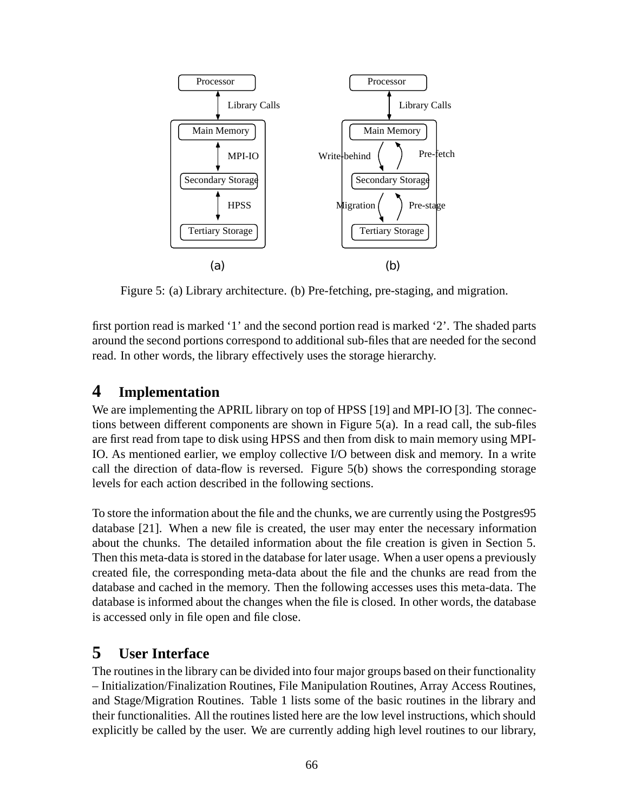

Figure 5: (a) Library architecture. (b) Pre-fetching, pre-staging, and migration.

first portion read is marked '1' and the second portion read is marked '2'. The shaded parts around the second portions correspond to additional sub-files that are needed for the second read. In other words, the library effectively uses the storage hierarchy.

## **4 Implementation**

We are implementing the APRIL library on top of HPSS [19] and MPI-IO [3]. The connections between different components are shown in Figure  $5(a)$ . In a read call, the sub-files are first read from tape to disk using HPSS and then from disk to main memory using MPI-IO. As mentioned earlier, we employ collective I/O between disk and memory. In a write call the direction of data-flow is reversed. Figure 5(b) shows the corresponding storage levels for each action described in the following sections.

To store the information about the file and the chunks, we are currently using the Postgres95 database [21]. When a new file is created, the user may enter the necessary information about the chunks. The detailed information about the file creation is given in Section 5. Then this meta-data is stored in the database for later usage. When a user opens a previously created file, the corresponding meta-data about the file and the chunks are read from the database and cached in the memory. Then the following accesses uses this meta-data. The database is informed about the changes when the file is closed. In other words, the database is accessed only in file open and file close.

### **5 User Interface**

The routines in the library can be divided into four major groups based on their functionality – Initialization/Finalization Routines, File Manipulation Routines, Array Access Routines, and Stage/Migration Routines. Table 1 lists some of the basic routines in the library and their functionalities. All the routines listed here are the low level instructions, which should explicitly be called by the user. We are currently adding high level routines to our library,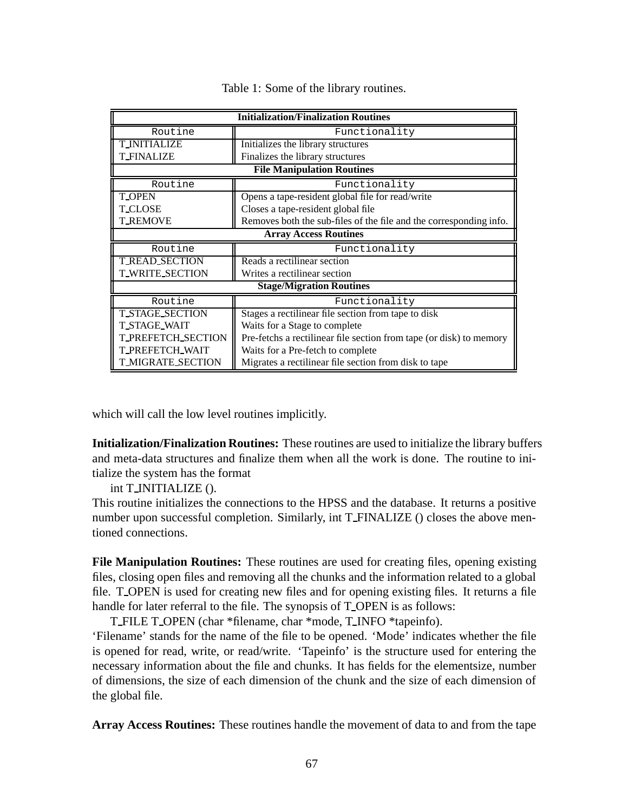| <b>Initialization/Finalization Routines</b> |                                                                     |  |  |  |  |  |
|---------------------------------------------|---------------------------------------------------------------------|--|--|--|--|--|
| Routine                                     | Functionality                                                       |  |  |  |  |  |
| <b>T INITIALIZE</b>                         | Initializes the library structures                                  |  |  |  |  |  |
| <b>T_FINALIZE</b>                           | Finalizes the library structures                                    |  |  |  |  |  |
| <b>File Manipulation Routines</b>           |                                                                     |  |  |  |  |  |
| Routine                                     | Functionality                                                       |  |  |  |  |  |
| <b>T_OPEN</b>                               | Opens a tape-resident global file for read/write                    |  |  |  |  |  |
| <b>T CLOSE</b>                              | Closes a tape-resident global file                                  |  |  |  |  |  |
| <b>T_REMOVE</b>                             | Removes both the sub-files of the file and the corresponding info.  |  |  |  |  |  |
|                                             | <b>Array Access Routines</b>                                        |  |  |  |  |  |
| Routine                                     | Functionality                                                       |  |  |  |  |  |
| <b>T_READ_SECTION</b>                       | Reads a rectilinear section                                         |  |  |  |  |  |
| <b>T WRITE SECTION</b>                      | Writes a rectilinear section                                        |  |  |  |  |  |
|                                             | <b>Stage/Migration Routines</b>                                     |  |  |  |  |  |
| Routine                                     | Functionality                                                       |  |  |  |  |  |
| <b>T_STAGE_SECTION</b>                      | Stages a rectilinear file section from tape to disk                 |  |  |  |  |  |
| <b>T_STAGE_WAIT</b>                         | Waits for a Stage to complete                                       |  |  |  |  |  |
| <b>T_PREFETCH_SECTION</b>                   | Pre-fetchs a rectilinear file section from tape (or disk) to memory |  |  |  |  |  |
| <b>T_PREFETCH_WAIT</b>                      | Waits for a Pre-fetch to complete                                   |  |  |  |  |  |
| <b>T_MIGRATE_SECTION</b>                    | Migrates a rectilinear file section from disk to tape               |  |  |  |  |  |

Table 1: Some of the library routines.

which will call the low level routines implicitly.

**Initialization/Finalization Routines:** These routines are used to initialize the library buffers and meta-data structures and finalize them when all the work is done. The routine to initialize the system has the format

int T\_INITIALIZE ().

This routine initializes the connections to the HPSS and the database. It returns a positive number upon successful completion. Similarly, int T FINALIZE () closes the above mentioned connections.

**File Manipulation Routines:** These routines are used for creating files, opening existing files, closing open files and removing all the chunks and the information related to a global file. T OPEN is used for creating new files and for opening existing files. It returns a file handle for later referral to the file. The synopsis of T\_OPEN is as follows:

T FILE T OPEN (char \*filename, char \*mode, T INFO \*tapeinfo).

'Filename' stands for the name of the file to be opened. 'Mode' indicates whether the file is opened for read, write, or read/write. 'Tapeinfo' is the structure used for entering the necessary information about the file and chunks. It has fields for the elementsize, number of dimensions, the size of each dimension of the chunk and the size of each dimension of the global file.

**Array Access Routines:** These routines handle the movement of data to and from the tape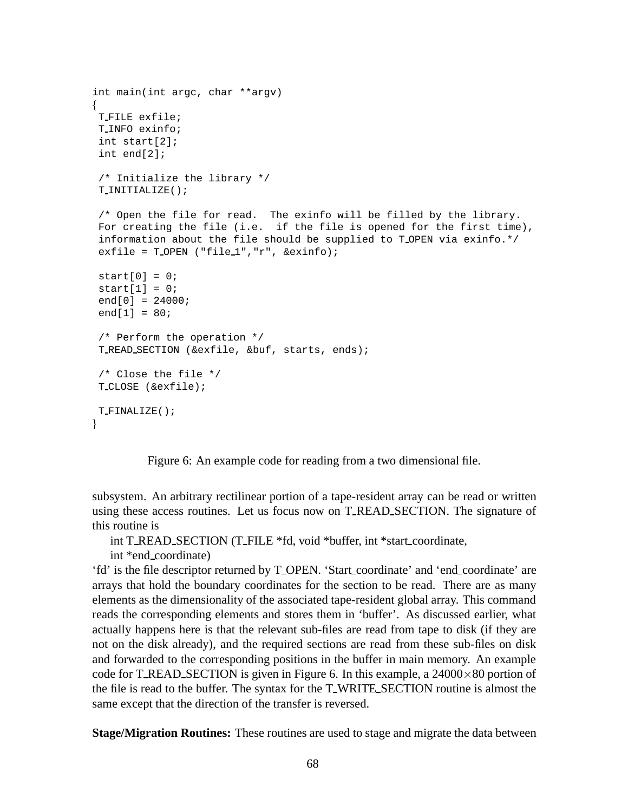```
int main(int argc, char **argv)
f
T FILE exfile;
T INFO exinfo;
 int start[2];
 int end[2];
 /* Initialize the library */
T INITIALIZE();
 /* Open the file for read. The exinfo will be filled by the library.
 For creating the file (i.e. if the file is opened for the first time),
 information about the file should be supplied to T_OPEN via exinfo.*/
 exfile = T OPEN ("file 1", "r", & exinfo);
 start[0] = 0;start[1] = 0;
 end[0] = 24000;end[1] = 80;/* Perform the operation */
T READ SECTION (&exfile, &buf, starts, ends);
 /* Close the file */
T CLOSE (&exfile);
T FINALIZE();
\}
```
Figure 6: An example code for reading from a two dimensional file.

subsystem. An arbitrary rectilinear portion of a tape-resident array can be read or written using these access routines. Let us focus now on T READ SECTION. The signature of this routine is

int T READ SECTION (T FILE \*fd, void \*buffer, int \*start coordinate,

int \*end coordinate)

'fd' is the file descriptor returned by T OPEN. 'Start coordinate' and 'end coordinate' are arrays that hold the boundary coordinates for the section to be read. There are as many elements as the dimensionality of the associated tape-resident global array. This command reads the corresponding elements and stores them in 'buffer'. As discussed earlier, what actually happens here is that the relevant sub-files are read from tape to disk (if they are not on the disk already), and the required sections are read from these sub-files on disk and forwarded to the corresponding positions in the buffer in main memory. An example code for T\_READ\_SECTION is given in Figure 6. In this example, a  $24000\times80$  portion of the file is read to the buffer. The syntax for the T WRITE SECTION routine is almost the same except that the direction of the transfer is reversed.

**Stage/Migration Routines:** These routines are used to stage and migrate the data between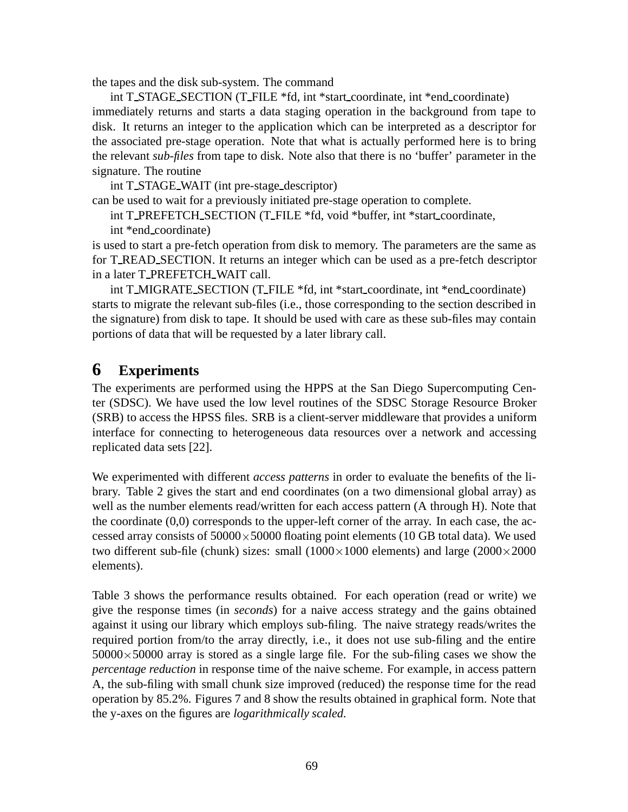the tapes and the disk sub-system. The command

int T STAGE SECTION (T FILE \*fd, int \*start coordinate, int \*end coordinate) immediately returns and starts a data staging operation in the background from tape to disk. It returns an integer to the application which can be interpreted as a descriptor for the associated pre-stage operation. Note that what is actually performed here is to bring the relevant *sub-files* from tape to disk. Note also that there is no 'buffer' parameter in the signature. The routine

int T STAGE WAIT (int pre-stage descriptor)

can be used to wait for a previously initiated pre-stage operation to complete.

int T\_PREFETCH\_SECTION (T\_FILE \*fd, void \*buffer, int \*start\_coordinate,

int \*end coordinate)

is used to start a pre-fetch operation from disk to memory. The parameters are the same as for T READ SECTION. It returns an integer which can be used as a pre-fetch descriptor in a later T PREFETCH WAIT call.

int T MIGRATE SECTION (T FILE \*fd, int \*start coordinate, int \*end coordinate) starts to migrate the relevant sub-files (i.e., those corresponding to the section described in the signature) from disk to tape. It should be used with care as these sub-files may contain portions of data that will be requested by a later library call.

# **6 Experiments**

The experiments are performed using the HPPS at the San Diego Supercomputing Center (SDSC). We have used the low level routines of the SDSC Storage Resource Broker (SRB) to access the HPSS files. SRB is a client-server middleware that provides a uniform interface for connecting to heterogeneous data resources over a network and accessing replicated data sets [22].

We experimented with different *access patterns* in order to evaluate the benefits of the library. Table 2 gives the start and end coordinates (on a two dimensional global array) as well as the number elements read/written for each access pattern (A through H). Note that the coordinate  $(0,0)$  corresponds to the upper-left corner of the array. In each case, the accessed array consists of  $50000 \times 50000$  floating point elements (10 GB total data). We used two different sub-file (chunk) sizes: small  $(1000 \times 1000)$  elements) and large  $(2000 \times 2000)$ elements).

Table 3 shows the performance results obtained. For each operation (read or write) we give the response times (in *seconds*) for a naive access strategy and the gains obtained against it using our library which employs sub-filing. The naive strategy reads/writes the required portion from/to the array directly, i.e., it does not use sub-filing and the entire  $50000\times50000$  array is stored as a single large file. For the sub-filing cases we show the *percentage reduction* in response time of the naive scheme. For example, in access pattern A, the sub-filing with small chunk size improved (reduced) the response time for the read operation by 85.2%. Figures 7 and 8 show the results obtained in graphical form. Note that the y-axes on the figures are *logarithmically scaled.*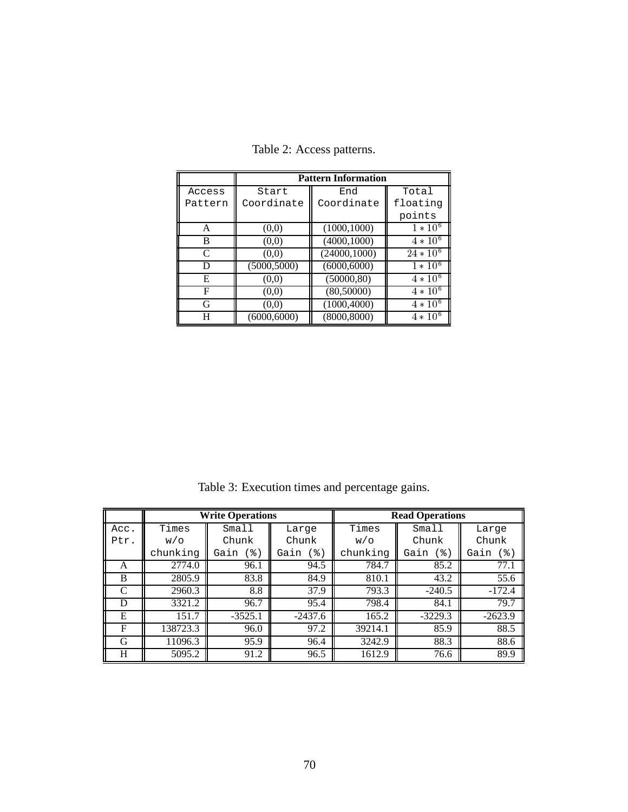|         | <b>Pattern Information</b> |               |                         |  |  |  |
|---------|----------------------------|---------------|-------------------------|--|--|--|
| Access  | Start                      | End           | Total                   |  |  |  |
| Pattern | Coordinate                 | Coordinate    | floating                |  |  |  |
|         |                            |               | points                  |  |  |  |
| A       | (0,0)                      | (1000, 1000)  | $1 * 10^6$              |  |  |  |
| B       | (0,0)                      | (4000, 1000)  | $4 * 10^{6}$            |  |  |  |
| C       | (0,0)                      | (24000, 1000) | $24 * 10^6$             |  |  |  |
| D       | (5000, 5000)               | (6000, 6000)  | $1 * 10^6$              |  |  |  |
| Е       | (0,0)                      | (50000, 80)   | $4 * 10^{\overline{6}}$ |  |  |  |
| F       | (0,0)                      | (80,50000)    | $4 * 10^6$              |  |  |  |
| G       | (0,0)                      | (1000, 4000)  | $4 * 10^6$              |  |  |  |
| H       | (6000,6000)                | (8000, 8000)  | $4 * 10^{6}$            |  |  |  |

Table 2: Access patterns.

Table 3: Execution times and percentage gains.

|      | <b>Write Operations</b> |           |           | <b>Read Operations</b> |             |             |
|------|-------------------------|-----------|-----------|------------------------|-------------|-------------|
| Acc. | Times                   | Small     | Large     | Times                  | Small       | Large       |
| Ptr. | W/O                     | Chunk     | Chunk     | W/O                    | Chunk       | Chunk       |
|      | chunking                | Gain (8)  | Gain (%)  | chunking               | (%)<br>Gain | (%)<br>Gain |
| A    | 2774.0                  | 96.1      | 94.5      | 784.7                  | 85.2        | 77.1        |
| B    | 2805.9                  | 83.8      | 84.9      | 810.1                  | 43.2        | 55.6        |
| C    | 2960.3                  | 8.8       | 37.9      | 793.3                  | $-240.5$    | $-172.4$    |
| D    | 3321.2                  | 96.7      | 95.4      | 798.4                  | 84.1        | 79.7        |
| E    | 151.7                   | $-3525.1$ | $-2437.6$ | 165.2                  | $-3229.3$   | $-2623.9$   |
| F    | 138723.3                | 96.0      | 97.2      | 39214.1                | 85.9        | 88.5        |
| G    | 11096.3                 | 95.9      | 96.4      | 3242.9                 | 88.3        | 88.6        |
| H    | 5095.2                  | 91.2      | 96.5      | 1612.9                 | 76.6        | 89.9        |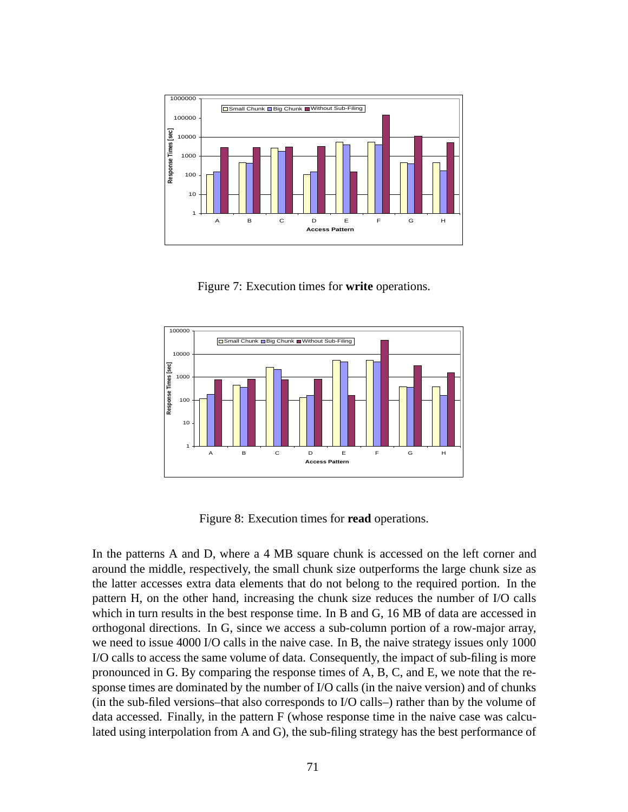

Figure 7: Execution times for **write** operations.



Figure 8: Execution times for **read** operations.

In the patterns A and D, where a 4 MB square chunk is accessed on the left corner and around the middle, respectively, the small chunk size outperforms the large chunk size as the latter accesses extra data elements that do not belong to the required portion. In the pattern H, on the other hand, increasing the chunk size reduces the number of I/O calls which in turn results in the best response time. In B and G, 16 MB of data are accessed in orthogonal directions. In G, since we access a sub-column portion of a row-major array, we need to issue 4000 I/O calls in the naive case. In B, the naive strategy issues only 1000 I/O calls to access the same volume of data. Consequently, the impact of sub-filing is more pronounced in G. By comparing the response times of A, B, C, and E, we note that the response times are dominated by the number of I/O calls (in the naive version) and of chunks (in the sub-filed versions–that also corresponds to I/O calls–) rather than by the volume of data accessed. Finally, in the pattern F (whose response time in the naive case was calculated using interpolation from A and G), the sub-filing strategy has the best performance of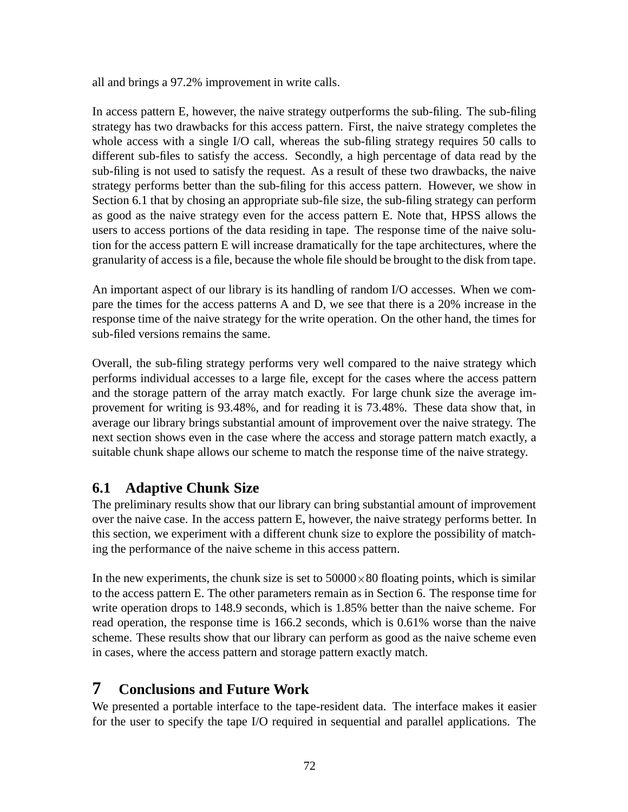all and brings a 97.2% improvement in write calls.

In access pattern E, however, the naive strategy outperforms the sub-filing. The sub-filing strategy has two drawbacks for this access pattern. First, the naive strategy completes the whole access with a single I/O call, whereas the sub-filing strategy requires 50 calls to different sub-files to satisfy the access. Secondly, a high percentage of data read by the sub-filing is not used to satisfy the request. As a result of these two drawbacks, the naive strategy performs better than the sub-filing for this access pattern. However, we show in Section 6.1 that by chosing an appropriate sub-file size, the sub-filing strategy can perform as good as the naive strategy even for the access pattern E. Note that, HPSS allows the users to access portions of the data residing in tape. The response time of the naive solution for the access pattern E will increase dramatically for the tape architectures, where the granularity of access is a file, because the whole file should be brought to the disk from tape.

An important aspect of our library is its handling of random I/O accesses. When we compare the times for the access patterns A and D, we see that there is a 20% increase in the response time of the naive strategy for the write operation. On the other hand, the times for sub-filed versions remains the same.

Overall, the sub-filing strategy performs very well compared to the naive strategy which performs individual accesses to a large file, except for the cases where the access pattern and the storage pattern of the array match exactly. For large chunk size the average improvement for writing is 93.48%, and for reading it is 73.48%. These data show that, in average our library brings substantial amount of improvement over the naive strategy. The next section shows even in the case where the access and storage pattern match exactly, a suitable chunk shape allows our scheme to match the response time of the naive strategy.

#### **6.1 Adaptive Chunk Size**

The preliminary results show that our library can bring substantial amount of improvement over the naive case. In the access pattern E, however, the naive strategy performs better. In this section, we experiment with a different chunk size to explore the possibility of matching the performance of the naive scheme in this access pattern.

In the new experiments, the chunk size is set to  $50000\times80$  floating points, which is similar to the access pattern E. The other parameters remain as in Section 6. The response time for write operation drops to 148.9 seconds, which is 1.85% better than the naive scheme. For read operation, the response time is 166.2 seconds, which is 0.61% worse than the naive scheme. These results show that our library can perform as good as the naive scheme even in cases, where the access pattern and storage pattern exactly match.

### **7 Conclusions and Future Work**

We presented a portable interface to the tape-resident data. The interface makes it easier for the user to specify the tape I/O required in sequential and parallel applications. The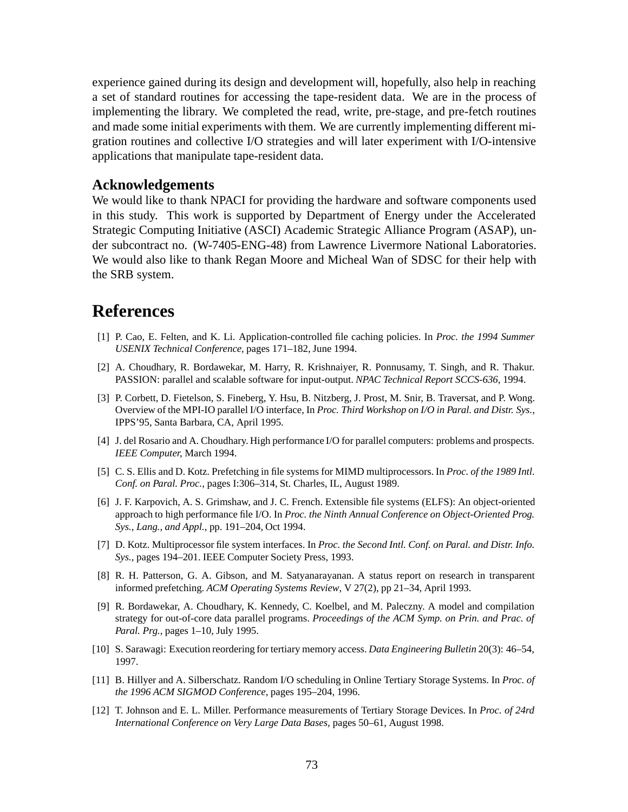experience gained during its design and development will, hopefully, also help in reaching a set of standard routines for accessing the tape-resident data. We are in the process of implementing the library. We completed the read, write, pre-stage, and pre-fetch routines and made some initial experiments with them. We are currently implementing different migration routines and collective I/O strategies and will later experiment with I/O-intensive applications that manipulate tape-resident data.

#### **Acknowledgements**

We would like to thank NPACI for providing the hardware and software components used in this study. This work is supported by Department of Energy under the Accelerated Strategic Computing Initiative (ASCI) Academic Strategic Alliance Program (ASAP), under subcontract no. (W-7405-ENG-48) from Lawrence Livermore National Laboratories. We would also like to thank Regan Moore and Micheal Wan of SDSC for their help with the SRB system.

# **References**

- [1] P. Cao, E. Felten, and K. Li. Application-controlled file caching policies. In *Proc. the 1994 Summer USENIX Technical Conference,* pages 171–182, June 1994.
- [2] A. Choudhary, R. Bordawekar, M. Harry, R. Krishnaiyer, R. Ponnusamy, T. Singh, and R. Thakur. PASSION: parallel and scalable software for input-output. *NPAC Technical Report SCCS-636,* 1994.
- [3] P. Corbett, D. Fietelson, S. Fineberg, Y. Hsu, B. Nitzberg, J. Prost, M. Snir, B. Traversat, and P. Wong. Overview of the MPI-IO parallel I/O interface, In *Proc. Third Workshop on I/O in Paral. and Distr. Sys.*, IPPS'95, Santa Barbara, CA, April 1995.
- [4] J. del Rosario and A. Choudhary. High performance I/O for parallel computers: problems and prospects. *IEEE Computer,* March 1994.
- [5] C. S. Ellis and D. Kotz. Prefetching in file systems for MIMD multiprocessors. In *Proc. of the 1989 Intl. Conf. on Paral. Proc.,* pages I:306–314, St. Charles, IL, August 1989.
- [6] J. F. Karpovich, A. S. Grimshaw, and J. C. French. Extensible file systems (ELFS): An object-oriented approach to high performance file I/O. In *Proc. the Ninth Annual Conference on Object-Oriented Prog. Sys., Lang., and Appl.,* pp. 191–204, Oct 1994.
- [7] D. Kotz. Multiprocessor file system interfaces. In *Proc. the Second Intl. Conf. on Paral. and Distr. Info. Sys.,* pages 194–201. IEEE Computer Society Press, 1993.
- [8] R. H. Patterson, G. A. Gibson, and M. Satyanarayanan. A status report on research in transparent informed prefetching. *ACM Operating Systems Review*, V 27(2), pp 21–34, April 1993.
- [9] R. Bordawekar, A. Choudhary, K. Kennedy, C. Koelbel, and M. Paleczny. A model and compilation strategy for out-of-core data parallel programs. *Proceedings of the ACM Symp. on Prin. and Prac. of Paral. Prg.*, pages 1–10, July 1995.
- [10] S. Sarawagi: Execution reordering for tertiary memory access. *Data Engineering Bulletin* 20(3): 46–54, 1997.
- [11] B. Hillyer and A. Silberschatz. Random I/O scheduling in Online Tertiary Storage Systems. In *Proc. of the 1996 ACM SIGMOD Conference*, pages 195–204, 1996.
- [12] T. Johnson and E. L. Miller. Performance measurements of Tertiary Storage Devices. In *Proc. of 24rd International Conference on Very Large Data Bases*, pages 50–61, August 1998.